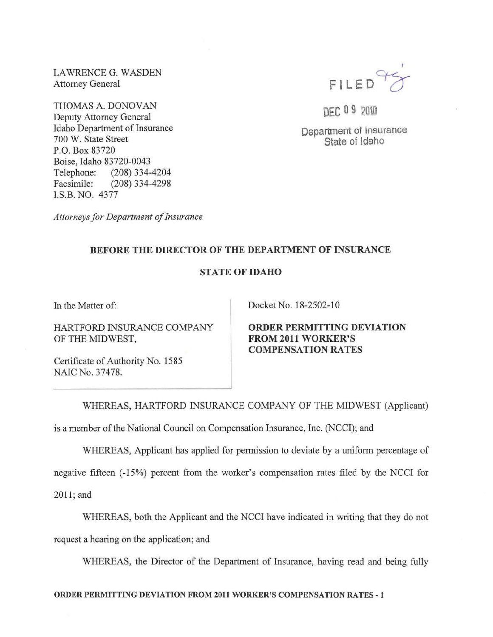LA WRENCE G. WASDEN Attorney General

THOMAS A. DONOVAN Deputy Attorney General Idaho Department of Insurance 700 W. State Street P.O. Box 83720 Boise, Idaho 83720-0043 Telephone: (208) 334-4204 Facsimile: (208) 334-4298 LS.B. NO. 4377



DEC 09 2010

Department of Insurance State of Idaho

*Attorneys for Department of Insurance* 

## BEFORE THE DIRECTOR OF THE DEPARTMENT OF INSURANCE

## STATE OF IDAHO

In the Matter of:

HARTFORD INSURANCE COMPANY OF THE MIDWEST,

Docket No. 18-2502-10

ORDER PERMITTING DEVIATION FROM 2011 WORKER'S COMPENSATION RATES

Certificate of Authority No. 1585 NAIC No. 37478.

WHEREAS, HARTFORD INSURANCE COMPANY OF THE MIDWEST (Applicant)

is a member of the National Council on Compensation Insurance, Inc. (NCCI); and

WHEREAS, Applicant has applied for permission to deviate by a uniform percentage of

negative fifteen (-15%) percent from the worker's compensation rates filed by the NCCI for

2011; and

WHEREAS, both the Applicant and the NCCI have indicated in writing that they do not

request a hearing on the application; and

WHEREAS, the Director of the Department of Insurance, having read and being fully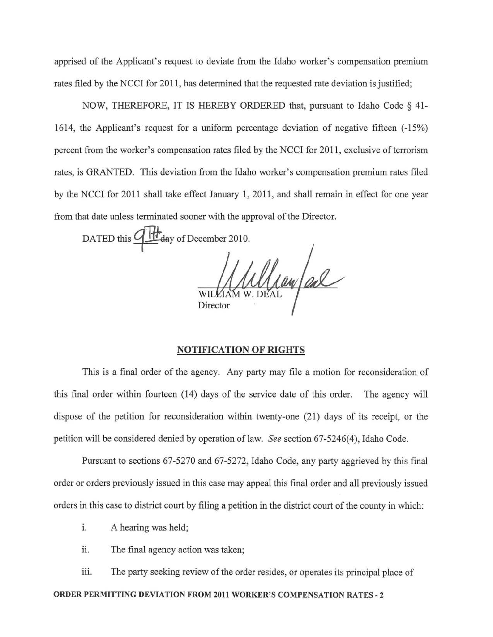apprised of the Applicant's request to deviate from the Idaho worker's compensation premium rates filed by the NCCI for 2011, has determined that the requested rate deviation is justified;

NOW, THEREFORE, IT IS HEREBY ORDERED that, pursuant to Idaho Code  $\S$  41-1614, the Applicant's request for a uniform percentage deviation of negative fifteen (-15%) percent from the worker's compensation rates filed by the NCCI for 2011 , exclusive of terrorism rates, is GRANTED. This deviation from the Idaho worker's compensation premium rates filed by the NCCI for 2011 shall take effect January 1, 2011, and shall remain in effect for one year from that date unless terminated sooner with the approval of the Director.

DATED this  $\frac{dH}{dq}$  of December 2010.

William al Director

## NOTIFICATION OF RIGHTS

This is a final order of the agency. Any party may file a motion for reconsideration of this final order within fourteen (14) days of the service date of this order. The agency will dispose of the petition for reconsideration within twenty-one (21) days of its receipt, or the petition will be considered denied by operation of law. *See* section 67-5246(4), Idaho Code.

Pursuant to sections 67-5270 and 67-5272, Idaho Code, any party aggrieved by this final order or orders previously issued in this case may appeal this final order and all previously issued orders in this case to district court by filing a petition in the district court of the county in which:

- i. A hearing was held;
- ii. The final agency action was taken;

iii. The party seeking review of the order resides, or operates its principal place of

ORDER PERMITTING DEVIATION FROM 2011 WORKER'S COMPENSATION RATES - 2